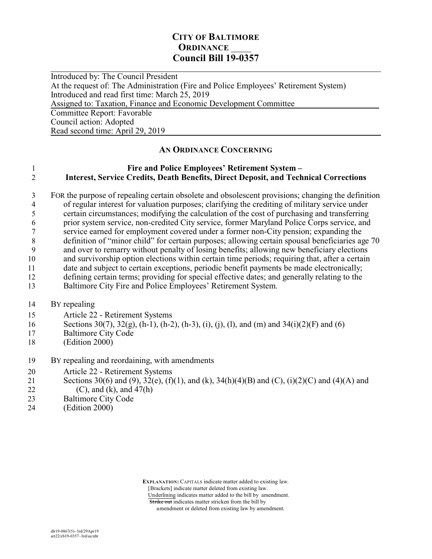### **CITY OF BALTIMORE ORDINANCE Council Bill 19-0357**

 $\overline{a}$ Introduced by: The Council President At the request of: The Administration (Fire and Police Employees' Retirement System) Introduced and read first time: March 25, 2019 Assigned to: Taxation, Finance and Economic Development Committee Committee Report: Favorable Council action: Adopted Read second time: April 29, 2019

#### **AN ORDINANCE CONCERNING**

#### 1 **Fire and Police Employees' Retirement System –**  2 **Interest, Service Credits, Death Benefits, Direct Deposit, and Technical Corrections**

3 FOR the purpose of repealing certain obsolete and obsolescent provisions; changing the definition of regular interest for valuation purposes: clarifying the crediting of military service under 4 of regular interest for valuation purposes; clarifying the crediting of military service under<br>5 certain circumstances; modifying the calculation of the cost of purchasing and transferring certain circumstances; modifying the calculation of the cost of purchasing and transferring prior system service, non-credited City service, former Maryland Police Corps service, and service earned for employment covered under a former non-City pension; expanding the definition of "minor child" for certain purposes; allowing certain spousal beneficiaries age 70 and over to remarry without penalty of losing benefits; allowing new beneficiary elections and survivorship option elections within certain time periods; requiring that, after a certain date and subject to certain exceptions, periodic benefit payments be made electronically; defining certain terms; providing for special effective dates; and generally relating to the Baltimore City Fire and Police Employees' Retirement System.

- 14 BY repealing
- 15 Article 22 Retirement Systems
- 16 Sections 30(7), 32(g), (h-1), (h-2), (h-3), (i), (j), (l), and (m) and 34(i)(2)(F) and (6)
- 17 Baltimore City Code
- 18 (Edition 2000)
- 19 BY repealing and reordaining, with amendments
- 20 Article 22 Retirement Systems
- 21 Sections 30(6) and (9), 32(e), (f)(1), and (k), 34(h)(4)(B) and (C), (i)(2)(C) and (4)(A) and 22 (C), and (k), and  $47(h)$
- 23 Baltimore City Code
- 24 (Edition 2000)

 **EXPLANATION:** CAPITALS indicate matter added to existing law. [Brackets] indicate matter deleted from existing law. Underlining indicates matter added to the bill by amendment.

Strike out indicates matter stricken from the bill by

amendment or deleted from existing law by amendment.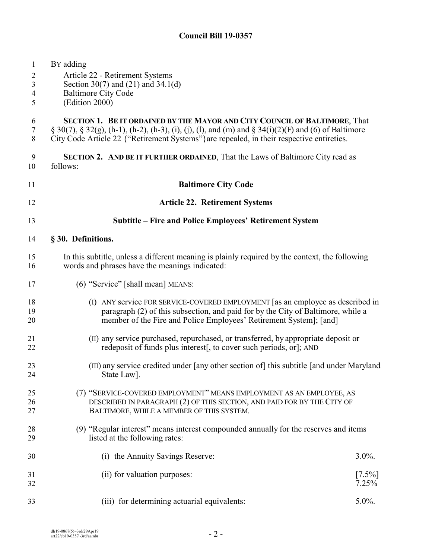| $\mathbf{1}$<br>$\overline{2}$<br>3<br>4<br>5 | BY adding<br>Article 22 - Retirement Systems<br>Section 30(7) and (21) and 34.1(d)<br><b>Baltimore City Code</b><br>(Edition 2000)                                                                                                                                                                |  |
|-----------------------------------------------|---------------------------------------------------------------------------------------------------------------------------------------------------------------------------------------------------------------------------------------------------------------------------------------------------|--|
| 6<br>$\tau$<br>8                              | <b>SECTION 1. BE IT ORDAINED BY THE MAYOR AND CITY COUNCIL OF BALTIMORE, That</b><br>$\S 30(7)$ , $\S 32(g)$ , (h-1), (h-2), (h-3), (i), (j), (l), and (m) and $\S 34(i)(2)(F)$ and (6) of Baltimore<br>City Code Article 22 {"Retirement Systems"} are repealed, in their respective entireties. |  |
| 9<br>10                                       | SECTION 2. AND BE IT FURTHER ORDAINED, That the Laws of Baltimore City read as<br>follows:                                                                                                                                                                                                        |  |
| 11                                            | <b>Baltimore City Code</b>                                                                                                                                                                                                                                                                        |  |
| 12                                            | <b>Article 22. Retirement Systems</b>                                                                                                                                                                                                                                                             |  |
| 13                                            | Subtitle – Fire and Police Employees' Retirement System                                                                                                                                                                                                                                           |  |
| 14                                            | § 30. Definitions.                                                                                                                                                                                                                                                                                |  |
| 15<br>16                                      | In this subtitle, unless a different meaning is plainly required by the context, the following<br>words and phrases have the meanings indicated:                                                                                                                                                  |  |
| 17                                            | (6) "Service" [shall mean] MEANS:                                                                                                                                                                                                                                                                 |  |
| 18<br>19<br>20                                | (I) ANY service FOR SERVICE-COVERED EMPLOYMENT [as an employee as described in<br>paragraph (2) of this subsection, and paid for by the City of Baltimore, while a<br>member of the Fire and Police Employees' Retirement System]; [and]                                                          |  |
| 21<br>22                                      | (II) any service purchased, repurchased, or transferred, by appropriate deposit or<br>redeposit of funds plus interest, to cover such periods, or, AND                                                                                                                                            |  |
| 23<br>24                                      | (III) any service credited under [any other section of] this subtitle [and under Maryland<br>State Law].                                                                                                                                                                                          |  |
| 25<br>26<br>27                                | (7) "SERVICE-COVERED EMPLOYMENT" MEANS EMPLOYMENT AS AN EMPLOYEE, AS<br>DESCRIBED IN PARAGRAPH (2) OF THIS SECTION, AND PAID FOR BY THE CITY OF<br>BALTIMORE, WHILE A MEMBER OF THIS SYSTEM.                                                                                                      |  |
| 28<br>29                                      | (9) "Regular interest" means interest compounded annually for the reserves and items<br>listed at the following rates:                                                                                                                                                                            |  |
| 30                                            | (i) the Annuity Savings Reserve:<br>$3.0\%$ .                                                                                                                                                                                                                                                     |  |
| 31<br>32                                      | (ii) for valuation purposes:<br>$[7.5\%]$<br>7.25%                                                                                                                                                                                                                                                |  |
| 33                                            | 5.0%.<br>for determining actuarial equivalents:<br>(111)                                                                                                                                                                                                                                          |  |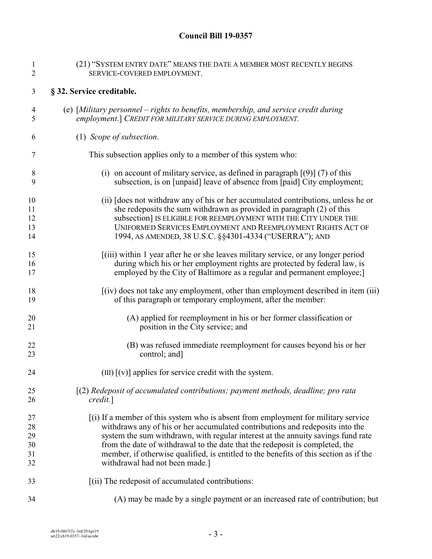| 1              | (21) "SYSTEM ENTRY DATE" MEANS THE DATE A MEMBER MOST RECENTLY BEGINS                 |
|----------------|---------------------------------------------------------------------------------------|
| $\mathfrak{2}$ | SERVICE-COVERED EMPLOYMENT.                                                           |
| 3              | § 32. Service creditable.                                                             |
| 4              | (e) [Military personnel – rights to benefits, membership, and service credit during   |
| 5              | employment.] CREDIT FOR MILITARY SERVICE DURING EMPLOYMENT.                           |
| 6              | (1) Scope of subsection.                                                              |
| 7              | This subsection applies only to a member of this system who:                          |
| 8              | (i) on account of military service, as defined in paragraph $(9)$ (7) of this         |
| 9              | subsection, is on [unpaid] leave of absence from [paid] City employment;              |
| 10             | (ii) [does not withdraw any of his or her accumulated contributions, unless he or     |
| 11             | she redeposits the sum withdrawn as provided in paragraph (2) of this                 |
| 12             | subsection] IS ELIGIBLE FOR REEMPLOYMENT WITH THE CITY UNDER THE                      |
| 13             | UNIFORMED SERVICES EMPLOYMENT AND REEMPLOYMENT RIGHTS ACT OF                          |
| 14             | 1994, AS AMENDED, 38 U.S.C. §§4301-4334 ("USERRA"); AND                               |
| 15             | (iii) within 1 year after he or she leaves military service, or any longer period     |
| 16             | during which his or her employment rights are protected by federal law, is            |
| 17             | employed by the City of Baltimore as a regular and permanent employee;                |
| 18             | $(iv)$ does not take any employment, other than employment described in item (iii)    |
| 19             | of this paragraph or temporary employment, after the member:                          |
| 20             | (A) applied for reemployment in his or her former classification or                   |
| 21             | position in the City service; and                                                     |
| 22             | (B) was refused immediate reemployment for causes beyond his or her                   |
| 23             | control; and]                                                                         |
| 24             | $(III)$ [ $(v)$ ] applies for service credit with the system.                         |
| 25             | [(2) Redeposit of accumulated contributions; payment methods, deadline; pro rata      |
| 26             | credit.]                                                                              |
| 27             | [(i) If a member of this system who is absent from employment for military service    |
| 28             | withdraws any of his or her accumulated contributions and redeposits into the         |
| 29             | system the sum withdrawn, with regular interest at the annuity savings fund rate      |
| 30             | from the date of withdrawal to the date that the redeposit is completed, the          |
| 31             | member, if otherwise qualified, is entitled to the benefits of this section as if the |
| 32             | withdrawal had not been made.]                                                        |
| 33             | [(ii) The redeposit of accumulated contributions:                                     |
| 34             | (A) may be made by a single payment or an increased rate of contribution; but         |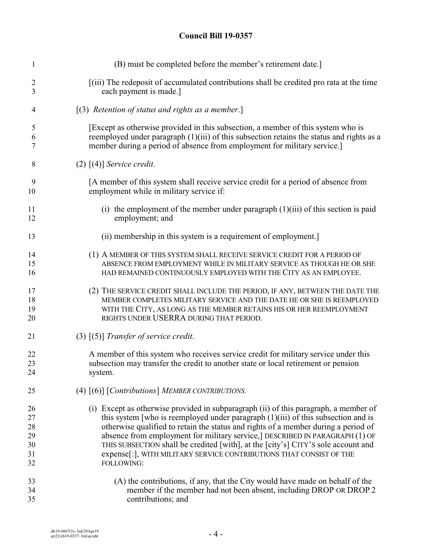| $\mathbf{1}$   | (B) must be completed before the member's retirement date.]                               |
|----------------|-------------------------------------------------------------------------------------------|
| $\overline{2}$ | [(iii) The redeposit of accumulated contributions shall be credited pro rata at the time  |
| 3              | each payment is made.]                                                                    |
| $\overline{4}$ | $(3)$ Retention of status and rights as a member.]                                        |
| 5              | [Except as otherwise provided in this subsection, a member of this system who is          |
| 6              | reemployed under paragraph (1)(iii) of this subsection retains the status and rights as a |
| 7              | member during a period of absence from employment for military service.]                  |
| 8              | $(2)$ [(4)] Service credit.                                                               |
| 9              | [A member of this system shall receive service credit for a period of absence from        |
| 10             | employment while in military service if:                                                  |
| 11             | (i) the employment of the member under paragraph $(1)(iii)$ of this section is paid       |
| 12             | employment; and                                                                           |
| 13             | (ii) membership in this system is a requirement of employment.                            |
| 14             | (1) A MEMBER OF THIS SYSTEM SHALL RECEIVE SERVICE CREDIT FOR A PERIOD OF                  |
| 15             | ABSENCE FROM EMPLOYMENT WHILE IN MILITARY SERVICE AS THOUGH HE OR SHE                     |
| 16             | HAD REMAINED CONTINUOUSLY EMPLOYED WITH THE CITY AS AN EMPLOYEE.                          |
| 17             | (2) THE SERVICE CREDIT SHALL INCLUDE THE PERIOD, IF ANY, BETWEEN THE DATE THE             |
| 18             | MEMBER COMPLETES MILITARY SERVICE AND THE DATE HE OR SHE IS REEMPLOYED                    |
| 19             | WITH THE CITY, AS LONG AS THE MEMBER RETAINS HIS OR HER REEMPLOYMENT                      |
| 20             | RIGHTS UNDER USERRA DURING THAT PERIOD.                                                   |
| 21             | $(3)$ $(5)$ ] Transfer of service credit.                                                 |
| 22             | A member of this system who receives service credit for military service under this       |
| 23             | subsection may transfer the credit to another state or local retirement or pension        |
| 24             | system.                                                                                   |
| 25             | (4) $[(6)]$ [Contributions] MEMBER CONTRIBUTIONS.                                         |
| 26             | (i) Except as otherwise provided in subparagraph (ii) of this paragraph, a member of      |
| 27             | this system [who is reemployed under paragraph $(1)(iii)$ of this subsection and is       |
| 28             | otherwise qualified to retain the status and rights of a member during a period of        |
| 29             | absence from employment for military service,] DESCRIBED IN PARAGRAPH (1) OF              |
| 30             | THIS SUBSECTION shall be credited [with], at the [city's] CITY'S sole account and         |
| 31             | expense[:], WITH MILITARY SERVICE CONTRIBUTIONS THAT CONSIST OF THE                       |
| 32             | FOLLOWING:                                                                                |
| 33             | (A) the contributions, if any, that the City would have made on behalf of the             |
| 34             | member if the member had not been absent, including DROP OR DROP 2                        |
| 35             | contributions; and                                                                        |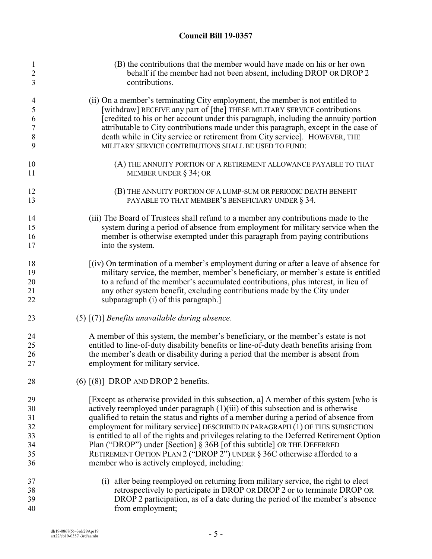| 1<br>$\overline{c}$<br>3      | (B) the contributions that the member would have made on his or her own<br>behalf if the member had not been absent, including DROP OR DROP 2<br>contributions. |
|-------------------------------|-----------------------------------------------------------------------------------------------------------------------------------------------------------------|
| $\overline{\mathcal{A}}$<br>5 | (ii) On a member's terminating City employment, the member is not entitled to<br>[withdraw] RECEIVE any part of [the] THESE MILITARY SERVICE contributions      |
| 6                             | [credited to his or her account under this paragraph, including the annuity portion                                                                             |
| $\overline{7}$                | attributable to City contributions made under this paragraph, except in the case of                                                                             |
| 8                             | death while in City service or retirement from City service]. HOWEVER, THE                                                                                      |
| 9                             | MILITARY SERVICE CONTRIBUTIONS SHALL BE USED TO FUND:                                                                                                           |
| 10                            | (A) THE ANNUITY PORTION OF A RETIREMENT ALLOWANCE PAYABLE TO THAT                                                                                               |
| 11                            | MEMBER UNDER $\S$ 34; OR                                                                                                                                        |
| 12<br>13                      | (B) THE ANNUITY PORTION OF A LUMP-SUM OR PERIODIC DEATH BENEFIT<br>PAYABLE TO THAT MEMBER'S BENEFICIARY UNDER § 34.                                             |
|                               |                                                                                                                                                                 |
| 14                            | (iii) The Board of Trustees shall refund to a member any contributions made to the                                                                              |
| 15                            | system during a period of absence from employment for military service when the                                                                                 |
| 16                            | member is otherwise exempted under this paragraph from paying contributions                                                                                     |
| 17                            | into the system.                                                                                                                                                |
| 18                            | [(iv) On termination of a member's employment during or after a leave of absence for                                                                            |
| 19                            | military service, the member, member's beneficiary, or member's estate is entitled                                                                              |
| 20                            | to a refund of the member's accumulated contributions, plus interest, in lieu of                                                                                |
| 21<br>22                      | any other system benefit, excluding contributions made by the City under<br>subparagraph (i) of this paragraph.                                                 |
| 23                            | $(5)$ $(7)$ ] Benefits unavailable during absence.                                                                                                              |
| 24                            | A member of this system, the member's beneficiary, or the member's estate is not                                                                                |
| 25                            | entitled to line-of-duty disability benefits or line-of-duty death benefits arising from                                                                        |
| 26                            | the member's death or disability during a period that the member is absent from                                                                                 |
| 27                            | employment for military service.                                                                                                                                |
| 28                            | $(6)$ $[(8)]$ DROP AND DROP 2 benefits.                                                                                                                         |
| 29                            | [Except as otherwise provided in this subsection, a] A member of this system [who is                                                                            |
| 30                            | actively reemployed under paragraph $(1)(iii)$ of this subsection and is otherwise                                                                              |
| 31                            | qualified to retain the status and rights of a member during a period of absence from                                                                           |
| 32                            | employment for military service] DESCRIBED IN PARAGRAPH (1) OF THIS SUBSECTION                                                                                  |
| 33                            | is entitled to all of the rights and privileges relating to the Deferred Retirement Option                                                                      |
| 34                            | Plan ("DROP") under [Section] § 36B [of this subtitle] OR THE DEFERRED                                                                                          |
| 35                            | RETIREMENT OPTION PLAN 2 ("DROP 2") UNDER § 36C otherwise afforded to a                                                                                         |
| 36                            | member who is actively employed, including:                                                                                                                     |
| 37                            | (i) after being reemployed on returning from military service, the right to elect                                                                               |
| 38                            | retrospectively to participate in DROP OR DROP 2 or to terminate DROP OR                                                                                        |
| 39                            | DROP 2 participation, as of a date during the period of the member's absence                                                                                    |
| 40                            | from employment;                                                                                                                                                |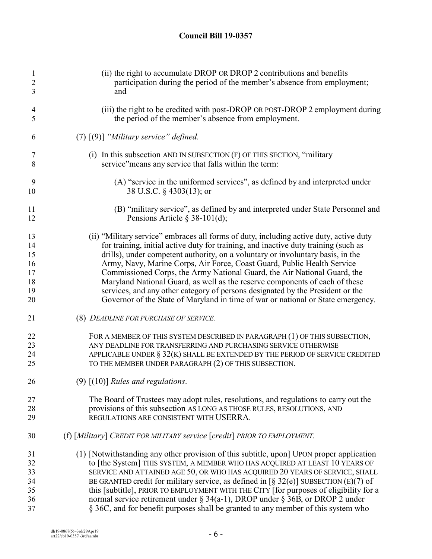| $\mathbf{1}$<br>$\sqrt{2}$<br>3 | (ii) the right to accumulate DROP OR DROP 2 contributions and benefits<br>participation during the period of the member's absence from employment;<br>and |
|---------------------------------|-----------------------------------------------------------------------------------------------------------------------------------------------------------|
| $\overline{4}$<br>5             | (iii) the right to be credited with post-DROP OR POST-DROP 2 employment during<br>the period of the member's absence from employment.                     |
| 6                               | $(7)$ $(9)$ ] "Military service" defined.                                                                                                                 |
| 7<br>8                          | (i) In this subsection AND IN SUBSECTION $(F)$ OF THIS SECTION, "military<br>service" means any service that falls within the term:                       |
| 9<br>10                         | (A) "service in the uniformed services", as defined by and interpreted under<br>38 U.S.C. § 4303(13); or                                                  |
| 11<br>12                        | (B) "military service", as defined by and interpreted under State Personnel and<br>Pensions Article $\S$ 38-101(d);                                       |
| 13                              | (ii) "Military service" embraces all forms of duty, including active duty, active duty                                                                    |
| 14                              | for training, initial active duty for training, and inactive duty training (such as                                                                       |
| 15                              | drills), under competent authority, on a voluntary or involuntary basis, in the                                                                           |
| 16                              | Army, Navy, Marine Corps, Air Force, Coast Guard, Public Health Service                                                                                   |
| 17                              | Commissioned Corps, the Army National Guard, the Air National Guard, the                                                                                  |
| 18                              | Maryland National Guard, as well as the reserve components of each of these                                                                               |
| 19                              | services, and any other category of persons designated by the President or the                                                                            |
| 20                              | Governor of the State of Maryland in time of war or national or State emergency.                                                                          |
| 21                              | (8) DEADLINE FOR PURCHASE OF SERVICE.                                                                                                                     |
| 22                              | FOR A MEMBER OF THIS SYSTEM DESCRIBED IN PARAGRAPH (1) OF THIS SUBSECTION,                                                                                |
| 23                              | ANY DEADLINE FOR TRANSFERRING AND PURCHASING SERVICE OTHERWISE                                                                                            |
| 24                              | APPLICABLE UNDER $\S 32(K)$ SHALL BE EXTENDED BY THE PERIOD OF SERVICE CREDITED                                                                           |
| 25                              | TO THE MEMBER UNDER PARAGRAPH (2) OF THIS SUBSECTION.                                                                                                     |
| 26                              | $(9)$ $[(10)]$ Rules and regulations.                                                                                                                     |
| 27                              | The Board of Trustees may adopt rules, resolutions, and regulations to carry out the                                                                      |
| 28                              | provisions of this subsection AS LONG AS THOSE RULES, RESOLUTIONS, AND                                                                                    |
| 29                              | REGULATIONS ARE CONSISTENT WITH USERRA.                                                                                                                   |
| 30                              | (f) [Military] CREDIT FOR MILITARY service [credit] PRIOR TO EMPLOYMENT.                                                                                  |
| 31                              | (1) [Notwithstanding any other provision of this subtitle, upon] UPON proper application                                                                  |
| 32                              | to [the System] THIS SYSTEM, A MEMBER WHO HAS ACQUIRED AT LEAST 10 YEARS OF                                                                               |
| 33                              | SERVICE AND ATTAINED AGE 50, OR WHO HAS ACQUIRED 20 YEARS OF SERVICE, SHALL                                                                               |
| 34                              | BE GRANTED credit for military service, as defined in $\lceil \S 32(e) \rceil$ SUBSECTION (E)(7) of                                                       |
| 35                              | this [subtitle], PRIOR TO EMPLOYMENT WITH THE CITY [for purposes of eligibility for a                                                                     |
| 36                              | normal service retirement under $\S$ 34(a-1), DROP under $\S$ 36B, or DROP 2 under                                                                        |
| 37                              | § 36C, and for benefit purposes shall be granted to any member of this system who                                                                         |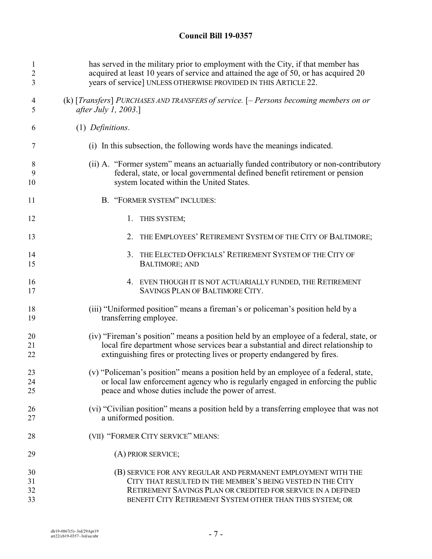| 1              | has served in the military prior to employment with the City, if that member has        |
|----------------|-----------------------------------------------------------------------------------------|
| $\overline{2}$ | acquired at least 10 years of service and attained the age of 50, or has acquired 20    |
| 3              | years of service] UNLESS OTHERWISE PROVIDED IN THIS ARTICLE 22.                         |
| 4              | (k) [Transfers] PURCHASES AND TRANSFERS of service. $[-$ Persons becoming members on or |
| 5              | <i>after July 1, 2003.</i> ]                                                            |
| 6              | (1) Definitions.                                                                        |
| 7              | (i) In this subsection, the following words have the meanings indicated.                |
| 8              | (ii) A. "Former system" means an actuarially funded contributory or non-contributory    |
| 9              | federal, state, or local governmental defined benefit retirement or pension             |
| 10             | system located within the United States.                                                |
| 11             | B. "FORMER SYSTEM" INCLUDES:                                                            |
| 12             | 1. THIS SYSTEM;                                                                         |
| 13             | THE EMPLOYEES' RETIREMENT SYSTEM OF THE CITY OF BALTIMORE;<br>2.                        |
| 14             | 3. THE ELECTED OFFICIALS' RETIREMENT SYSTEM OF THE CITY OF                              |
| 15             | <b>BALTIMORE; AND</b>                                                                   |
| 16             | 4. EVEN THOUGH IT IS NOT ACTUARIALLY FUNDED, THE RETIREMENT                             |
| 17             | SAVINGS PLAN OF BALTIMORE CITY.                                                         |
| 18             | (iii) "Uniformed position" means a fireman's or policeman's position held by a          |
| 19             | transferring employee.                                                                  |
| 20             | (iv) "Fireman's position" means a position held by an employee of a federal, state, or  |
| 21             | local fire department whose services bear a substantial and direct relationship to      |
| 22             | extinguishing fires or protecting lives or property endangered by fires.                |
| 23             | (v) "Policeman's position" means a position held by an employee of a federal, state,    |
| 24             | or local law enforcement agency who is regularly engaged in enforcing the public        |
| 25             | peace and whose duties include the power of arrest.                                     |
| 26             | (vi) "Civilian position" means a position held by a transferring employee that was not  |
| 27             | a uniformed position.                                                                   |
| 28             | (VII) "FORMER CITY SERVICE" MEANS:                                                      |
| 29             | (A) PRIOR SERVICE;                                                                      |
| 30             | (B) SERVICE FOR ANY REGULAR AND PERMANENT EMPLOYMENT WITH THE                           |
| 31             | CITY THAT RESULTED IN THE MEMBER'S BEING VESTED IN THE CITY                             |
| 32             | RETIREMENT SAVINGS PLAN OR CREDITED FOR SERVICE IN A DEFINED                            |
| 33             | BENEFIT CITY RETIREMENT SYSTEM OTHER THAN THIS SYSTEM; OR                               |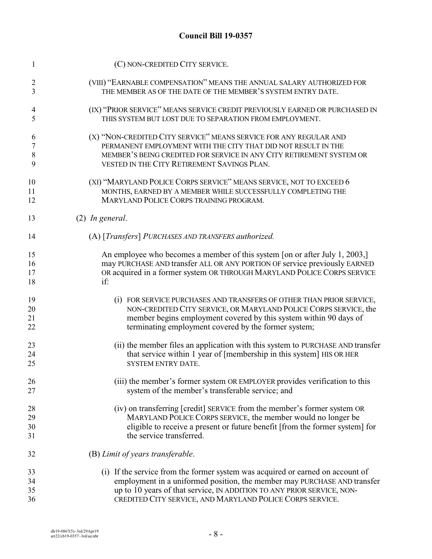| 1  | (C) NON-CREDITED CITY SERVICE.                                                 |
|----|--------------------------------------------------------------------------------|
| 2  | (VIII) "EARNABLE COMPENSATION" MEANS THE ANNUAL SALARY AUTHORIZED FOR          |
| 3  | THE MEMBER AS OF THE DATE OF THE MEMBER'S SYSTEM ENTRY DATE.                   |
| 4  | (IX) "PRIOR SERVICE" MEANS SERVICE CREDIT PREVIOUSLY EARNED OR PURCHASED IN    |
| 5  | THIS SYSTEM BUT LOST DUE TO SEPARATION FROM EMPLOYMENT.                        |
| 6  | (X) "NON-CREDITED CITY SERVICE" MEANS SERVICE FOR ANY REGULAR AND              |
| 7  | PERMANENT EMPLOYMENT WITH THE CITY THAT DID NOT RESULT IN THE                  |
| 8  | MEMBER'S BEING CREDITED FOR SERVICE IN ANY CITY RETIREMENT SYSTEM OR           |
| 9  | VESTED IN THE CITY RETIREMENT SAVINGS PLAN.                                    |
| 10 | (XI) "MARYLAND POLICE CORPS SERVICE" MEANS SERVICE, NOT TO EXCEED 6            |
| 11 | MONTHS, EARNED BY A MEMBER WHILE SUCCESSFULLY COMPLETING THE                   |
| 12 | MARYLAND POLICE CORPS TRAINING PROGRAM.                                        |
| 13 | $(2)$ In general.                                                              |
| 14 | (A) [Transfers] PURCHASES AND TRANSFERS authorized.                            |
| 15 | An employee who becomes a member of this system [on or after July 1, 2003,]    |
| 16 | may PURCHASE AND transfer ALL OR ANY PORTION OF service previously EARNED      |
| 17 | OR acquired in a former system OR THROUGH MARYLAND POLICE CORPS SERVICE        |
| 18 | if:                                                                            |
| 19 | (i) FOR SERVICE PURCHASES AND TRANSFERS OF OTHER THAN PRIOR SERVICE,           |
| 20 | NON-CREDITED CITY SERVICE, OR MARYLAND POLICE CORPS SERVICE, the               |
| 21 | member begins employment covered by this system within 90 days of              |
| 22 | terminating employment covered by the former system;                           |
| 23 | (ii) the member files an application with this system to PURCHASE AND transfer |
| 24 | that service within 1 year of [membership in this system] HIS OR HER           |
| 25 | <b>SYSTEM ENTRY DATE.</b>                                                      |
| 26 | (iii) the member's former system OR EMPLOYER provides verification to this     |
| 27 | system of the member's transferable service; and                               |
| 28 | (iv) on transferring [credit] SERVICE from the member's former system OR       |
| 29 | MARYLAND POLICE CORPS SERVICE, the member would no longer be                   |
| 30 | eligible to receive a present or future benefit [from the former system] for   |
| 31 | the service transferred.                                                       |
| 32 | (B) Limit of years transferable.                                               |
| 33 | (i) If the service from the former system was acquired or earned on account of |
| 34 | employment in a uniformed position, the member may PURCHASE AND transfer       |
| 35 | up to 10 years of that service, IN ADDITION TO ANY PRIOR SERVICE, NON-         |
| 36 | CREDITED CITY SERVICE, AND MARYLAND POLICE CORPS SERVICE.                      |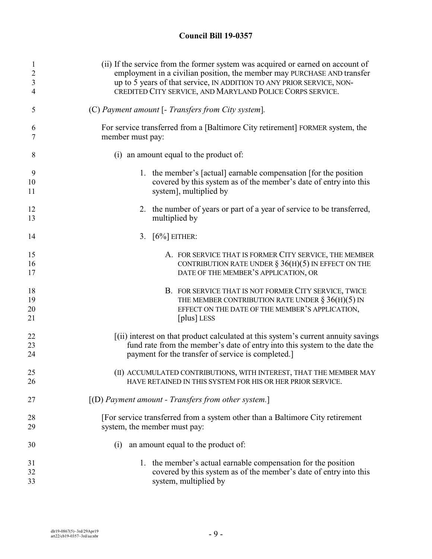| 1              | (ii) If the service from the former system was acquired or earned on account of                                                                                |
|----------------|----------------------------------------------------------------------------------------------------------------------------------------------------------------|
| $\overline{2}$ | employment in a civilian position, the member may PURCHASE AND transfer                                                                                        |
| $\mathfrak{Z}$ | up to 5 years of that service, IN ADDITION TO ANY PRIOR SERVICE, NON-                                                                                          |
| 4              | CREDITED CITY SERVICE, AND MARYLAND POLICE CORPS SERVICE.                                                                                                      |
| 5              | (C) Payment amount [- Transfers from City system].                                                                                                             |
| 6              | For service transferred from a [Baltimore City retirement] FORMER system, the                                                                                  |
| 7              | member must pay:                                                                                                                                               |
| 8              | (i) an amount equal to the product of:                                                                                                                         |
| 9              | 1. the member's [actual] earnable compensation [for the position]                                                                                              |
| 10             | covered by this system as of the member's date of entry into this                                                                                              |
| 11             | system], multiplied by                                                                                                                                         |
| 12             | 2. the number of years or part of a year of service to be transferred,                                                                                         |
| 13             | multiplied by                                                                                                                                                  |
| 14             | 3. $[6\%]$ EITHER:                                                                                                                                             |
| 15             | A. FOR SERVICE THAT IS FORMER CITY SERVICE, THE MEMBER                                                                                                         |
| 16             | CONTRIBUTION RATE UNDER $\S$ 36(H)(5) IN EFFECT ON THE                                                                                                         |
| 17             | DATE OF THE MEMBER'S APPLICATION, OR                                                                                                                           |
| 18             | B. FOR SERVICE THAT IS NOT FORMER CITY SERVICE, TWICE                                                                                                          |
| 19             | THE MEMBER CONTRIBUTION RATE UNDER $\S 36(H)(5)$ IN                                                                                                            |
| 20             | EFFECT ON THE DATE OF THE MEMBER'S APPLICATION,                                                                                                                |
| 21             | [plus] LESS                                                                                                                                                    |
| 22             | [(ii) interest on that product calculated at this system's current annuity savings                                                                             |
| 23             | fund rate from the member's date of entry into this system to the date the                                                                                     |
| 24             | payment for the transfer of service is completed.]                                                                                                             |
| 25             | (II) ACCUMULATED CONTRIBUTIONS, WITH INTEREST, THAT THE MEMBER MAY                                                                                             |
| 26             | HAVE RETAINED IN THIS SYSTEM FOR HIS OR HER PRIOR SERVICE.                                                                                                     |
| 27             | $[(D)$ Payment amount - Transfers from other system.]                                                                                                          |
| 28             | [For service transferred from a system other than a Baltimore City retirement                                                                                  |
| 29             | system, the member must pay:                                                                                                                                   |
| 30             | an amount equal to the product of:<br>(i)                                                                                                                      |
| 31<br>32<br>33 | the member's actual earnable compensation for the position<br>1.<br>covered by this system as of the member's date of entry into this<br>system, multiplied by |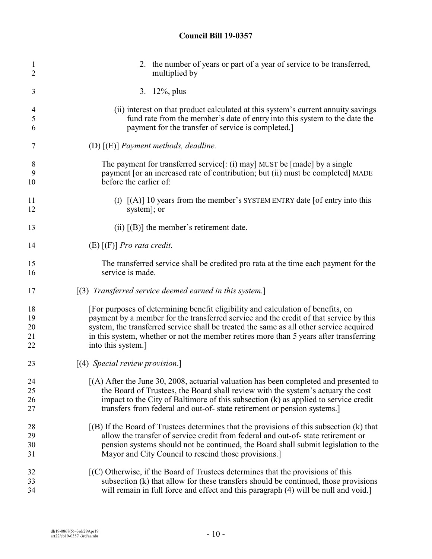| 1                        | 2. the number of years or part of a year of service to be transferred,                       |
|--------------------------|----------------------------------------------------------------------------------------------|
| 2                        | multiplied by                                                                                |
| 3                        | 3. $12\%$ , plus                                                                             |
| $\overline{\mathcal{A}}$ | (ii) interest on that product calculated at this system's current annuity savings            |
| 5                        | fund rate from the member's date of entry into this system to the date the                   |
| 6                        | payment for the transfer of service is completed.]                                           |
| 7                        | (D) $[(E)]$ Payment methods, deadline.                                                       |
| 8                        | The payment for transferred service[: (i) may] MUST be [made] by a single                    |
| 9                        | payment [or an increased rate of contribution; but (ii) must be completed] MADE              |
| 10                       | before the earlier of:                                                                       |
| 11                       | (I) $[(A)]$ 10 years from the member's SYSTEM ENTRY date [of entry into this                 |
| 12                       | system]; or                                                                                  |
| 13                       | (ii) $[(B)]$ the member's retirement date.                                                   |
| 14                       | $(E)$ [(F)] <i>Pro rata credit.</i>                                                          |
| 15                       | The transferred service shall be credited pro rata at the time each payment for the          |
| 16                       | service is made.                                                                             |
| 17                       | $(3)$ Transferred service deemed earned in this system.]                                     |
| 18                       | [For purposes of determining benefit eligibility and calculation of benefits, on             |
| 19                       | payment by a member for the transferred service and the credit of that service by this       |
| 20                       | system, the transferred service shall be treated the same as all other service acquired      |
| 21                       | in this system, whether or not the member retires more than 5 years after transferring       |
| 22                       | into this system.]                                                                           |
| 23                       | $[(4)$ Special review provision.]                                                            |
| 24                       | $(A)$ After the June 30, 2008, actuarial valuation has been completed and presented to       |
| 25                       | the Board of Trustees, the Board shall review with the system's actuary the cost             |
| 26                       | impact to the City of Baltimore of this subsection (k) as applied to service credit          |
| 27                       | transfers from federal and out-of-state retirement or pension systems.                       |
| 28                       | $[(B)$ If the Board of Trustees determines that the provisions of this subsection $(k)$ that |
| 29                       | allow the transfer of service credit from federal and out-of-state retirement or             |
| 30                       | pension systems should not be continued, the Board shall submit legislation to the           |
| 31                       | Mayor and City Council to rescind those provisions.]                                         |
| 32                       | [(C) Otherwise, if the Board of Trustees determines that the provisions of this              |
| 33                       | subsection (k) that allow for these transfers should be continued, those provisions          |
| 34                       | will remain in full force and effect and this paragraph (4) will be null and void.]          |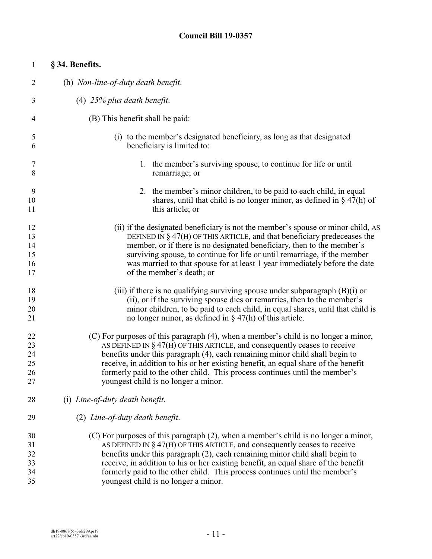| $\mathbf{1}$   | § 34. Benefits.                                                                     |
|----------------|-------------------------------------------------------------------------------------|
| $\overline{2}$ | (h) Non-line-of-duty death benefit.                                                 |
| 3              | $(4)$ 25% plus death benefit.                                                       |
| 4              | (B) This benefit shall be paid:                                                     |
| 5              | (i) to the member's designated beneficiary, as long as that designated              |
| 6              | beneficiary is limited to:                                                          |
| 7              | 1. the member's surviving spouse, to continue for life or until                     |
| 8              | remarriage; or                                                                      |
| 9              | 2. the member's minor children, to be paid to each child, in equal                  |
| 10             | shares, until that child is no longer minor, as defined in $\S$ 47(h) of            |
| 11             | this article; or                                                                    |
| 12             | (ii) if the designated beneficiary is not the member's spouse or minor child, AS    |
| 13             | DEFINED IN $\S$ 47(H) OF THIS ARTICLE, and that beneficiary predeceases the         |
| 14             | member, or if there is no designated beneficiary, then to the member's              |
| 15             | surviving spouse, to continue for life or until remarriage, if the member           |
| 16             | was married to that spouse for at least 1 year immediately before the date          |
| 17             | of the member's death; or                                                           |
| 18             | (iii) if there is no qualifying surviving spouse under subparagraph $(B)(i)$ or     |
| 19             | (ii), or if the surviving spouse dies or remarries, then to the member's            |
| 20             | minor children, to be paid to each child, in equal shares, until that child is      |
| 21             | no longer minor, as defined in $\S$ 47(h) of this article.                          |
| 22             | (C) For purposes of this paragraph (4), when a member's child is no longer a minor, |
| 23             | AS DEFINED IN $\S$ 47(H) OF THIS ARTICLE, and consequently ceases to receive        |
| 24             | benefits under this paragraph (4), each remaining minor child shall begin to        |
| 25             | receive, in addition to his or her existing benefit, an equal share of the benefit  |
| 26             | formerly paid to the other child. This process continues until the member's         |
| 27             | youngest child is no longer a minor.                                                |
| 28             | (i) Line-of-duty death benefit.                                                     |
| 29             | (2) Line-of-duty death benefit.                                                     |
| 30             | (C) For purposes of this paragraph (2), when a member's child is no longer a minor, |
| 31             | AS DEFINED IN $\S$ 47(H) OF THIS ARTICLE, and consequently ceases to receive        |
| 32             | benefits under this paragraph (2), each remaining minor child shall begin to        |
| 33             | receive, in addition to his or her existing benefit, an equal share of the benefit  |
| 34             | formerly paid to the other child. This process continues until the member's         |
| 35             | youngest child is no longer a minor.                                                |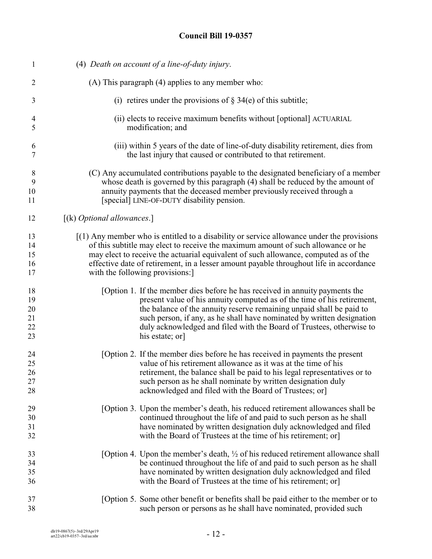| $\mathbf{1}$   | (4) Death on account of a line-of-duty injury.                                              |
|----------------|---------------------------------------------------------------------------------------------|
| 2              | (A) This paragraph (4) applies to any member who:                                           |
| 3              | (i) retires under the provisions of $\S$ 34(e) of this subtitle;                            |
| $\overline{4}$ | (ii) elects to receive maximum benefits without [optional] ACTUARIAL                        |
| 5              | modification; and                                                                           |
| 6              | (iii) within 5 years of the date of line-of-duty disability retirement, dies from           |
| 7              | the last injury that caused or contributed to that retirement.                              |
| 8              | (C) Any accumulated contributions payable to the designated beneficiary of a member         |
| 9              | whose death is governed by this paragraph (4) shall be reduced by the amount of             |
| 10             | annuity payments that the deceased member previously received through a                     |
| 11             | [special] LINE-OF-DUTY disability pension.                                                  |
| 12             | $[(k)$ <i>Optional allowances.</i> ]                                                        |
| 13             | $(1)$ Any member who is entitled to a disability or service allowance under the provisions  |
| 14             | of this subtitle may elect to receive the maximum amount of such allowance or he            |
| 15             | may elect to receive the actuarial equivalent of such allowance, computed as of the         |
| 16             | effective date of retirement, in a lesser amount payable throughout life in accordance      |
| 17             | with the following provisions:                                                              |
| 18             | [Option 1. If the member dies before he has received in annuity payments the                |
| 19             | present value of his annuity computed as of the time of his retirement,                     |
| 20             | the balance of the annuity reserve remaining unpaid shall be paid to                        |
| 21             | such person, if any, as he shall have nominated by written designation                      |
| 22             | duly acknowledged and filed with the Board of Trustees, otherwise to                        |
| 23             | his estate; or                                                                              |
| 24             | [Option 2. If the member dies before he has received in payments the present                |
| 25             | value of his retirement allowance as it was at the time of his                              |
| 26             | retirement, the balance shall be paid to his legal representatives or to                    |
| 27             | such person as he shall nominate by written designation duly                                |
| 28             | acknowledged and filed with the Board of Trustees; or                                       |
| 29             | [Option 3. Upon the member's death, his reduced retirement allowances shall be              |
| 30             | continued throughout the life of and paid to such person as he shall                        |
| 31             | have nominated by written designation duly acknowledged and filed                           |
| 32             | with the Board of Trustees at the time of his retirement; or                                |
| 33             | [Option 4. Upon the member's death, $\frac{1}{2}$ of his reduced retirement allowance shall |
| 34             | be continued throughout the life of and paid to such person as he shall                     |
| 35             | have nominated by written designation duly acknowledged and filed                           |
| 36             | with the Board of Trustees at the time of his retirement; or                                |
| 37             | [Option 5. Some other benefit or benefits shall be paid either to the member or to          |
| 38             | such person or persons as he shall have nominated, provided such                            |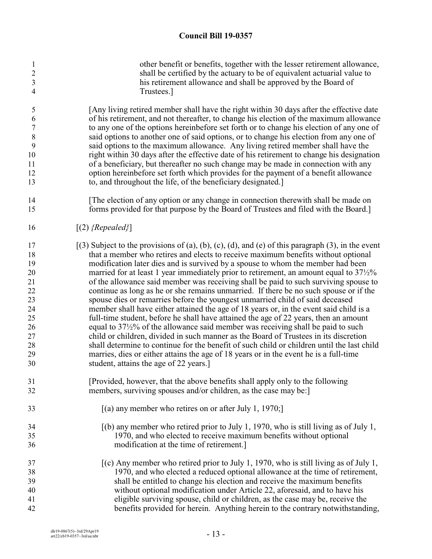| $\mathbf{1}$   | other benefit or benefits, together with the lesser retirement allowance,                          |
|----------------|----------------------------------------------------------------------------------------------------|
| $\mathfrak{2}$ | shall be certified by the actuary to be of equivalent actuarial value to                           |
| $\mathfrak{Z}$ | his retirement allowance and shall be approved by the Board of                                     |
| $\overline{4}$ | Trustees.]                                                                                         |
| 5              | [Any living retired member shall have the right within 30 days after the effective date            |
| 6              | of his retirement, and not thereafter, to change his election of the maximum allowance             |
| $\overline{7}$ | to any one of the options hereinbefore set forth or to change his election of any one of           |
| $\,$ $\,$      | said options to another one of said options, or to change his election from any one of             |
| 9              | said options to the maximum allowance. Any living retired member shall have the                    |
| 10             | right within 30 days after the effective date of his retirement to change his designation          |
| 11             | of a beneficiary, but thereafter no such change may be made in connection with any                 |
| 12             | option hereinbefore set forth which provides for the payment of a benefit allowance                |
| 13             | to, and throughout the life, of the beneficiary designated.]                                       |
| 14             | [The election of any option or any change in connection therewith shall be made on                 |
| 15             | forms provided for that purpose by the Board of Trustees and filed with the Board.]                |
| 16             | $[(2)$ {Repealed}]                                                                                 |
| 17             | $(3)$ Subject to the provisions of (a), (b), (c), (d), and (e) of this paragraph (3), in the event |
| 18             | that a member who retires and elects to receive maximum benefits without optional                  |
| 19             | modification later dies and is survived by a spouse to whom the member had been                    |
| 20             | married for at least 1 year immediately prior to retirement, an amount equal to $37\frac{1}{2}\%$  |
| 21             | of the allowance said member was receiving shall be paid to such surviving spouse to               |
| 22             | continue as long as he or she remains unmarried. If there be no such spouse or if the              |
| 23             | spouse dies or remarries before the youngest unmarried child of said deceased                      |
| 24             | member shall have either attained the age of 18 years or, in the event said child is a             |
| 25             | full-time student, before he shall have attained the age of 22 years, then an amount               |
| 26             | equal to $37\frac{1}{2}\%$ of the allowance said member was receiving shall be paid to such        |
| 27             | child or children, divided in such manner as the Board of Trustees in its discretion               |
| 28             | shall determine to continue for the benefit of such child or children until the last child         |
| 29             | marries, dies or either attains the age of 18 years or in the event he is a full-time              |
| 30             | student, attains the age of 22 years.]                                                             |
| 31             | [Provided, however, that the above benefits shall apply only to the following                      |
| 32             | members, surviving spouses and/or children, as the case may be:]                                   |
| 33             | $[(a)$ any member who retires on or after July 1, 1970;                                            |
| 34             | $(6)$ any member who retired prior to July 1, 1970, who is still living as of July 1,              |
| 35             | 1970, and who elected to receive maximum benefits without optional                                 |
| 36             | modification at the time of retirement.]                                                           |
| 37             | $\alpha$ (c) Any member who retired prior to July 1, 1970, who is still living as of July 1,       |
| 38             | 1970, and who elected a reduced optional allowance at the time of retirement,                      |
| 39             | shall be entitled to change his election and receive the maximum benefits                          |
| 40             | without optional modification under Article 22, aforesaid, and to have his                         |
| 41             | eligible surviving spouse, child or children, as the case may be, receive the                      |
| 42             | benefits provided for herein. Anything herein to the contrary notwithstanding,                     |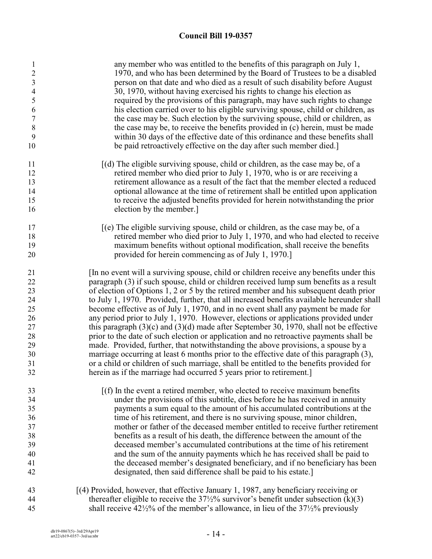| $\mathbf{1}$<br>$\overline{c}$<br>$\overline{3}$<br>$\overline{4}$<br>5<br>6 | any member who was entitled to the benefits of this paragraph on July 1,<br>1970, and who has been determined by the Board of Trustees to be a disabled<br>person on that date and who died as a result of such disability before August<br>30, 1970, without having exercised his rights to change his election as<br>required by the provisions of this paragraph, may have such rights to change<br>his election carried over to his eligible surviving spouse, child or children, as |
|------------------------------------------------------------------------------|------------------------------------------------------------------------------------------------------------------------------------------------------------------------------------------------------------------------------------------------------------------------------------------------------------------------------------------------------------------------------------------------------------------------------------------------------------------------------------------|
| $\sqrt{ }$                                                                   | the case may be. Such election by the surviving spouse, child or children, as                                                                                                                                                                                                                                                                                                                                                                                                            |
| $\,$ $\,$                                                                    | the case may be, to receive the benefits provided in (c) herein, must be made                                                                                                                                                                                                                                                                                                                                                                                                            |
| 9                                                                            | within 30 days of the effective date of this ordinance and these benefits shall                                                                                                                                                                                                                                                                                                                                                                                                          |
| 10                                                                           | be paid retroactively effective on the day after such member died.                                                                                                                                                                                                                                                                                                                                                                                                                       |
| 11                                                                           | $[(d)$ The eligible surviving spouse, child or children, as the case may be, of a                                                                                                                                                                                                                                                                                                                                                                                                        |
| 12                                                                           | retired member who died prior to July 1, 1970, who is or are receiving a                                                                                                                                                                                                                                                                                                                                                                                                                 |
| 13                                                                           | retirement allowance as a result of the fact that the member elected a reduced                                                                                                                                                                                                                                                                                                                                                                                                           |
| 14                                                                           | optional allowance at the time of retirement shall be entitled upon application                                                                                                                                                                                                                                                                                                                                                                                                          |
| 15                                                                           | to receive the adjusted benefits provided for herein notwithstanding the prior                                                                                                                                                                                                                                                                                                                                                                                                           |
| 16                                                                           | election by the member.                                                                                                                                                                                                                                                                                                                                                                                                                                                                  |
| 17                                                                           | $\delta$ [(e) The eligible surviving spouse, child or children, as the case may be, of a                                                                                                                                                                                                                                                                                                                                                                                                 |
| 18                                                                           | retired member who died prior to July 1, 1970, and who had elected to receive                                                                                                                                                                                                                                                                                                                                                                                                            |
| 19                                                                           | maximum benefits without optional modification, shall receive the benefits                                                                                                                                                                                                                                                                                                                                                                                                               |
| 20                                                                           | provided for herein commencing as of July 1, 1970.]                                                                                                                                                                                                                                                                                                                                                                                                                                      |
| 21                                                                           | [In no event will a surviving spouse, child or children receive any benefits under this                                                                                                                                                                                                                                                                                                                                                                                                  |
| 22                                                                           | paragraph (3) if such spouse, child or children received lump sum benefits as a result                                                                                                                                                                                                                                                                                                                                                                                                   |
| 23                                                                           | of election of Options 1, 2 or 5 by the retired member and his subsequent death prior                                                                                                                                                                                                                                                                                                                                                                                                    |
| 24                                                                           | to July 1, 1970. Provided, further, that all increased benefits available hereunder shall                                                                                                                                                                                                                                                                                                                                                                                                |
| 25                                                                           | become effective as of July 1, 1970, and in no event shall any payment be made for                                                                                                                                                                                                                                                                                                                                                                                                       |
| 26                                                                           | any period prior to July 1, 1970. However, elections or applications provided under                                                                                                                                                                                                                                                                                                                                                                                                      |
| 27                                                                           | this paragraph $(3)(c)$ and $(3)(d)$ made after September 30, 1970, shall not be effective                                                                                                                                                                                                                                                                                                                                                                                               |
| 28                                                                           | prior to the date of such election or application and no retroactive payments shall be                                                                                                                                                                                                                                                                                                                                                                                                   |
| 29<br>30                                                                     | made. Provided, further, that notwithstanding the above provisions, a spouse by a<br>marriage occurring at least 6 months prior to the effective date of this paragraph (3),                                                                                                                                                                                                                                                                                                             |
| 31                                                                           | or a child or children of such marriage, shall be entitled to the benefits provided for                                                                                                                                                                                                                                                                                                                                                                                                  |
| 32                                                                           | herein as if the marriage had occurred 5 years prior to retirement.                                                                                                                                                                                                                                                                                                                                                                                                                      |
| 33                                                                           | $[(f)$ In the event a retired member, who elected to receive maximum benefits                                                                                                                                                                                                                                                                                                                                                                                                            |
| 34                                                                           | under the provisions of this subtitle, dies before he has received in annuity                                                                                                                                                                                                                                                                                                                                                                                                            |
| 35                                                                           | payments a sum equal to the amount of his accumulated contributions at the                                                                                                                                                                                                                                                                                                                                                                                                               |
| 36                                                                           | time of his retirement, and there is no surviving spouse, minor children,                                                                                                                                                                                                                                                                                                                                                                                                                |
| 37                                                                           | mother or father of the deceased member entitled to receive further retirement                                                                                                                                                                                                                                                                                                                                                                                                           |
| 38                                                                           | benefits as a result of his death, the difference between the amount of the                                                                                                                                                                                                                                                                                                                                                                                                              |
| 39                                                                           | deceased member's accumulated contributions at the time of his retirement                                                                                                                                                                                                                                                                                                                                                                                                                |
| 40                                                                           | and the sum of the annuity payments which he has received shall be paid to                                                                                                                                                                                                                                                                                                                                                                                                               |
| 41                                                                           | the deceased member's designated beneficiary, and if no beneficiary has been                                                                                                                                                                                                                                                                                                                                                                                                             |
| 42                                                                           | designated, then said difference shall be paid to his estate.]                                                                                                                                                                                                                                                                                                                                                                                                                           |
| 43                                                                           | [(4) Provided, however, that effective January 1, 1987, any beneficiary receiving or                                                                                                                                                                                                                                                                                                                                                                                                     |
| 44                                                                           | thereafter eligible to receive the $37\frac{1}{2}\%$ survivor's benefit under subsection (k)(3)                                                                                                                                                                                                                                                                                                                                                                                          |
| 45                                                                           | shall receive $42\frac{1}{2}\%$ of the member's allowance, in lieu of the $37\frac{1}{2}\%$ previously                                                                                                                                                                                                                                                                                                                                                                                   |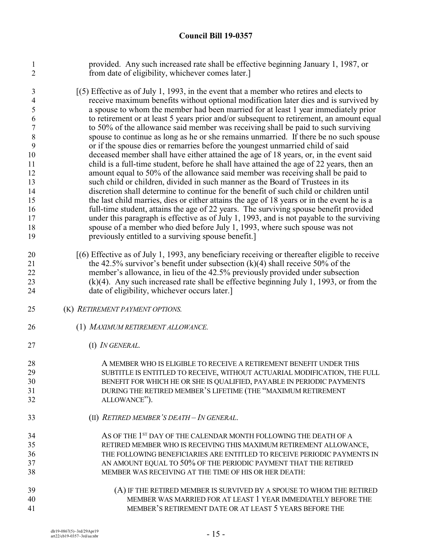provided. Any such increased rate shall be effective beginning January 1, 1987, or from date of eligibility, whichever comes later.]

- [(5) Effective as of July 1, 1993, in the event that a member who retires and elects to receive maximum benefits without optional modification later dies and is survived by a spouse to whom the member had been married for at least 1 year immediately prior to retirement or at least 5 years prior and/or subsequent to retirement, an amount equal to 50% of the allowance said member was receiving shall be paid to such surviving spouse to continue as long as he or she remains unmarried. If there be no such spouse or if the spouse dies or remarries before the youngest unmarried child of said deceased member shall have either attained the age of 18 years, or, in the event said child is a full-time student, before he shall have attained the age of 22 years, then an amount equal to 50% of the allowance said member was receiving shall be paid to such child or children, divided in such manner as the Board of Trustees in its discretion shall determine to continue for the benefit of such child or children until the last child marries, dies or either attains the age of 18 years or in the event he is a full-time student, attains the age of 22 years. The surviving spouse benefit provided under this paragraph is effective as of July 1, 1993, and is not payable to the surviving spouse of a member who died before July 1, 1993, where such spouse was not previously entitled to a surviving spouse benefit.]
- [(6) Effective as of July 1, 1993, any beneficiary receiving or thereafter eligible to receive 21 the 42.5% survivor's benefit under subsection  $(k)(4)$  shall receive 50% of the member's allowance, in lieu of the 42.5% previously provided under subsection (k)(4). Any such increased rate shall be effective beginning July 1, 1993, or from the date of eligibility, whichever occurs later.]
- (K) *RETIREMENT PAYMENT OPTIONS.*
- (1) *MAXIMUM RETIREMENT ALLOWANCE.*
- (I) *IN GENERAL.*
- A MEMBER WHO IS ELIGIBLE TO RECEIVE A RETIREMENT BENEFIT UNDER THIS SUBTITLE IS ENTITLED TO RECEIVE, WITHOUT ACTUARIAL MODIFICATION, THE FULL BENEFIT FOR WHICH HE OR SHE IS QUALIFIED, PAYABLE IN PERIODIC PAYMENTS DURING THE RETIRED MEMBER'S LIFETIME (THE "MAXIMUM RETIREMENT ALLOWANCE"). (II) *RETIRED MEMBER'S DEATH – IN GENERAL*.
- 34 AS OF THE 1<sup>st</sup> DAY OF THE CALENDAR MONTH FOLLOWING THE DEATH OF A RETIRED MEMBER WHO IS RECEIVING THIS MAXIMUM RETIREMENT ALLOWANCE, THE FOLLOWING BENEFICIARIES ARE ENTITLED TO RECEIVE PERIODIC PAYMENTS IN AN AMOUNT EQUAL TO 50% OF THE PERIODIC PAYMENT THAT THE RETIRED MEMBER WAS RECEIVING AT THE TIME OF HIS OR HER DEATH:
- (A) IF THE RETIRED MEMBER IS SURVIVED BY A SPOUSE TO WHOM THE RETIRED MEMBER WAS MARRIED FOR AT LEAST 1 YEAR IMMEDIATELY BEFORE THE MEMBER'S RETIREMENT DATE OR AT LEAST 5 YEARS BEFORE THE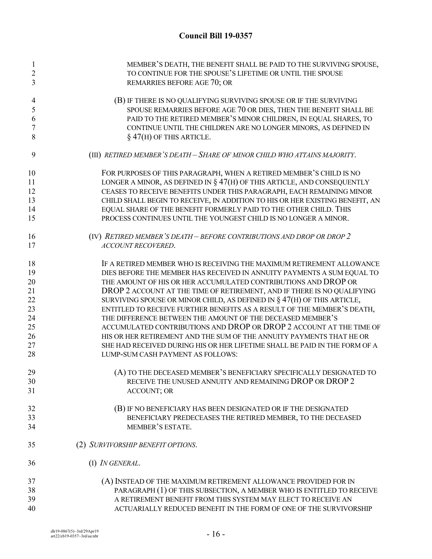| 1              | MEMBER'S DEATH, THE BENEFIT SHALL BE PAID TO THE SURVIVING SPOUSE,           |
|----------------|------------------------------------------------------------------------------|
| $\overline{c}$ | TO CONTINUE FOR THE SPOUSE'S LIFETIME OR UNTIL THE SPOUSE                    |
| 3              | REMARRIES BEFORE AGE 70; OR                                                  |
|                |                                                                              |
| 4              | (B) IF THERE IS NO QUALIFYING SURVIVING SPOUSE OR IF THE SURVIVING           |
| 5              | SPOUSE REMARRIES BEFORE AGE 70 OR DIES, THEN THE BENEFIT SHALL BE            |
| 6              | PAID TO THE RETIRED MEMBER'S MINOR CHILDREN, IN EQUAL SHARES, TO             |
| 7              | CONTINUE UNTIL THE CHILDREN ARE NO LONGER MINORS, AS DEFINED IN              |
| 8              | $\S$ 47(H) OF THIS ARTICLE.                                                  |
| 9              | (III) RETIRED MEMBER'S DEATH - SHARE OF MINOR CHILD WHO ATTAINS MAJORITY.    |
| 10             | FOR PURPOSES OF THIS PARAGRAPH, WHEN A RETIRED MEMBER'S CHILD IS NO          |
| 11             | LONGER A MINOR, AS DEFINED IN $\S 47(H)$ OF THIS ARTICLE, AND CONSEQUENTLY   |
| 12             | CEASES TO RECEIVE BENEFITS UNDER THIS PARAGRAPH, EACH REMAINING MINOR        |
| 13             | CHILD SHALL BEGIN TO RECEIVE, IN ADDITION TO HIS OR HER EXISTING BENEFIT, AN |
| 14             | EQUAL SHARE OF THE BENEFIT FORMERLY PAID TO THE OTHER CHILD. THIS            |
| 15             | PROCESS CONTINUES UNTIL THE YOUNGEST CHILD IS NO LONGER A MINOR.             |
| 16             | (IV) RETIRED MEMBER'S DEATH - BEFORE CONTRIBUTIONS AND DROP OR DROP 2        |
| 17             | ACCOUNT RECOVERED.                                                           |
|                |                                                                              |
| 18             | IF A RETIRED MEMBER WHO IS RECEIVING THE MAXIMUM RETIREMENT ALLOWANCE        |
| 19             | DIES BEFORE THE MEMBER HAS RECEIVED IN ANNUITY PAYMENTS A SUM EQUAL TO       |
| 20             | THE AMOUNT OF HIS OR HER ACCUMULATED CONTRIBUTIONS AND DROP OR               |
| 21             | DROP 2 ACCOUNT AT THE TIME OF RETIREMENT, AND IF THERE IS NO QUALIFYING      |
| 22             | SURVIVING SPOUSE OR MINOR CHILD, AS DEFINED IN $\S 47(H)$ OF THIS ARTICLE,   |
| 23             | ENTITLED TO RECEIVE FURTHER BENEFITS AS A RESULT OF THE MEMBER'S DEATH,      |
| 24             | THE DIFFERENCE BETWEEN THE AMOUNT OF THE DECEASED MEMBER'S                   |
| 25             | ACCUMULATED CONTRIBUTIONS AND DROP OR DROP 2 ACCOUNT AT THE TIME OF          |
| 26             | HIS OR HER RETIREMENT AND THE SUM OF THE ANNUITY PAYMENTS THAT HE OR         |
| 27             | SHE HAD RECEIVED DURING HIS OR HER LIFETIME SHALL BE PAID IN THE FORM OF A   |
| 28             | LUMP-SUM CASH PAYMENT AS FOLLOWS:                                            |
| 29             | (A) TO THE DECEASED MEMBER'S BENEFICIARY SPECIFICALLY DESIGNATED TO          |
| 30             | RECEIVE THE UNUSED ANNUITY AND REMAINING DROP OR DROP 2                      |
| 31             | <b>ACCOUNT; OR</b>                                                           |
| 32             | (B) IF NO BENEFICIARY HAS BEEN DESIGNATED OR IF THE DESIGNATED               |
| 33             | BENEFICIARY PREDECEASES THE RETIRED MEMBER, TO THE DECEASED                  |
| 34             | MEMBER'S ESTATE.                                                             |
| 35             | (2) SURVIVORSHIP BENEFIT OPTIONS.                                            |
|                |                                                                              |
| 36             | (I) <i>IN GENERAL</i> .                                                      |
| 37             | (A) INSTEAD OF THE MAXIMUM RETIREMENT ALLOWANCE PROVIDED FOR IN              |
| 38             | PARAGRAPH (1) OF THIS SUBSECTION, A MEMBER WHO IS ENTITLED TO RECEIVE        |
| 39             | A RETIREMENT BENEFIT FROM THIS SYSTEM MAY ELECT TO RECEIVE AN                |
| 40             | ACTUARIALLY REDUCED BENEFIT IN THE FORM OF ONE OF THE SURVIVORSHIP           |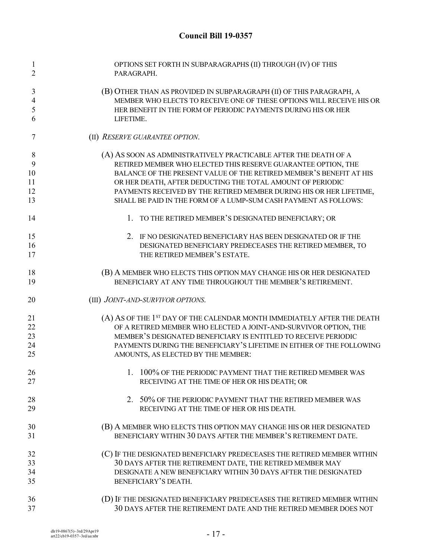| $\mathbf{1}$<br>$\overline{2}$     | OPTIONS SET FORTH IN SUBPARAGRAPHS (II) THROUGH (IV) OF THIS<br>PARAGRAPH.                                                                                                                                      |
|------------------------------------|-----------------------------------------------------------------------------------------------------------------------------------------------------------------------------------------------------------------|
| 3<br>$\overline{\mathcal{A}}$<br>5 | (B) OTHER THAN AS PROVIDED IN SUBPARAGRAPH (II) OF THIS PARAGRAPH, A<br>MEMBER WHO ELECTS TO RECEIVE ONE OF THESE OPTIONS WILL RECEIVE HIS OR<br>HER BENEFIT IN THE FORM OF PERIODIC PAYMENTS DURING HIS OR HER |
| 6                                  | LIFETIME.                                                                                                                                                                                                       |
| 7                                  | (II) RESERVE GUARANTEE OPTION.                                                                                                                                                                                  |
| 8                                  | (A) AS SOON AS ADMINISTRATIVELY PRACTICABLE AFTER THE DEATH OF A                                                                                                                                                |
| 9                                  | RETIRED MEMBER WHO ELECTED THIS RESERVE GUARANTEE OPTION, THE                                                                                                                                                   |
| 10                                 | BALANCE OF THE PRESENT VALUE OF THE RETIRED MEMBER'S BENEFIT AT HIS                                                                                                                                             |
| 11                                 | OR HER DEATH, AFTER DEDUCTING THE TOTAL AMOUNT OF PERIODIC                                                                                                                                                      |
| 12                                 | PAYMENTS RECEIVED BY THE RETIRED MEMBER DURING HIS OR HER LIFETIME,                                                                                                                                             |
| 13                                 | SHALL BE PAID IN THE FORM OF A LUMP-SUM CASH PAYMENT AS FOLLOWS:                                                                                                                                                |
| 14                                 | 1. TO THE RETIRED MEMBER'S DESIGNATED BENEFICIARY; OR                                                                                                                                                           |
| 15                                 | 2. IF NO DESIGNATED BENEFICIARY HAS BEEN DESIGNATED OR IF THE                                                                                                                                                   |
| 16                                 | DESIGNATED BENEFICIARY PREDECEASES THE RETIRED MEMBER, TO                                                                                                                                                       |
| 17                                 | THE RETIRED MEMBER'S ESTATE.                                                                                                                                                                                    |
| 18                                 | (B) A MEMBER WHO ELECTS THIS OPTION MAY CHANGE HIS OR HER DESIGNATED                                                                                                                                            |
| 19                                 | BENEFICIARY AT ANY TIME THROUGHOUT THE MEMBER'S RETIREMENT.                                                                                                                                                     |
| 20                                 | (III) JOINT-AND-SURVIVOR OPTIONS.                                                                                                                                                                               |
| 21                                 | (A) AS OF THE 1 <sup>ST</sup> DAY OF THE CALENDAR MONTH IMMEDIATELY AFTER THE DEATH                                                                                                                             |
| 22                                 | OF A RETIRED MEMBER WHO ELECTED A JOINT-AND-SURVIVOR OPTION, THE                                                                                                                                                |
| 23                                 | MEMBER'S DESIGNATED BENEFICIARY IS ENTITLED TO RECEIVE PERIODIC                                                                                                                                                 |
| 24                                 | PAYMENTS DURING THE BENEFICIARY'S LIFETIME IN EITHER OF THE FOLLOWING                                                                                                                                           |
| 25                                 | AMOUNTS, AS ELECTED BY THE MEMBER:                                                                                                                                                                              |
| 26                                 | 1. 100% OF THE PERIODIC PAYMENT THAT THE RETIRED MEMBER WAS                                                                                                                                                     |
| 27                                 | RECEIVING AT THE TIME OF HER OR HIS DEATH; OR                                                                                                                                                                   |
| 28                                 | 2. 50% OF THE PERIODIC PAYMENT THAT THE RETIRED MEMBER WAS                                                                                                                                                      |
| 29                                 | RECEIVING AT THE TIME OF HER OR HIS DEATH.                                                                                                                                                                      |
| 30                                 | (B) A MEMBER WHO ELECTS THIS OPTION MAY CHANGE HIS OR HER DESIGNATED                                                                                                                                            |
| 31                                 | BENEFICIARY WITHIN 30 DAYS AFTER THE MEMBER'S RETIREMENT DATE.                                                                                                                                                  |
| 32                                 | (C) IF THE DESIGNATED BENEFICIARY PREDECEASES THE RETIRED MEMBER WITHIN                                                                                                                                         |
| 33                                 | 30 DAYS AFTER THE RETIREMENT DATE, THE RETIRED MEMBER MAY                                                                                                                                                       |
| 34                                 | DESIGNATE A NEW BENEFICIARY WITHIN 30 DAYS AFTER THE DESIGNATED                                                                                                                                                 |
| 35                                 | BENEFICIARY'S DEATH.                                                                                                                                                                                            |
|                                    |                                                                                                                                                                                                                 |
| 36<br>37                           | (D) IF THE DESIGNATED BENEFICIARY PREDECEASES THE RETIRED MEMBER WITHIN<br>30 DAYS AFTER THE RETIREMENT DATE AND THE RETIRED MEMBER DOES NOT                                                                    |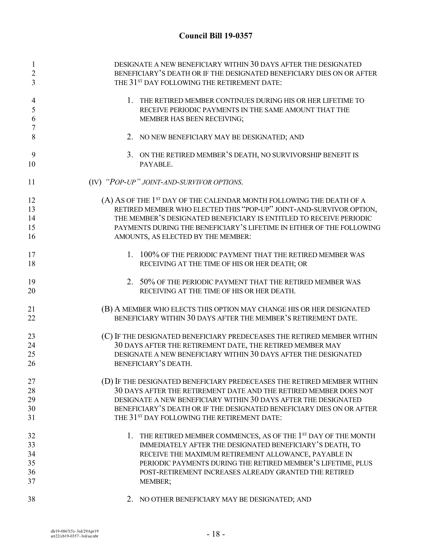| 1<br>$\overline{2}$           | DESIGNATE A NEW BENEFICIARY WITHIN 30 DAYS AFTER THE DESIGNATED<br>BENEFICIARY'S DEATH OR IF THE DESIGNATED BENEFICIARY DIES ON OR AFTER             |
|-------------------------------|------------------------------------------------------------------------------------------------------------------------------------------------------|
| 3                             | THE 31 <sup>ST</sup> DAY FOLLOWING THE RETIREMENT DATE:                                                                                              |
| 4<br>5<br>6<br>$\overline{7}$ | 1. THE RETIRED MEMBER CONTINUES DURING HIS OR HER LIFETIME TO<br>RECEIVE PERIODIC PAYMENTS IN THE SAME AMOUNT THAT THE<br>MEMBER HAS BEEN RECEIVING; |
| 8                             | 2. NO NEW BENEFICIARY MAY BE DESIGNATED; AND                                                                                                         |
| 9<br>10                       | 3. ON THE RETIRED MEMBER'S DEATH, NO SURVIVORSHIP BENEFIT IS<br>PAYABLE.                                                                             |
| 11                            | (IV) "POP-UP" JOINT-AND-SURVIVOR OPTIONS.                                                                                                            |
| 12                            | (A) AS OF THE 1 <sup>ST</sup> DAY OF THE CALENDAR MONTH FOLLOWING THE DEATH OF A                                                                     |
| 13                            | RETIRED MEMBER WHO ELECTED THIS "POP-UP" JOINT-AND-SURVIVOR OPTION,                                                                                  |
| 14                            | THE MEMBER'S DESIGNATED BENEFICIARY IS ENTITLED TO RECEIVE PERIODIC                                                                                  |
| 15                            | PAYMENTS DURING THE BENEFICIARY'S LIFETIME IN EITHER OF THE FOLLOWING                                                                                |
| 16                            | AMOUNTS, AS ELECTED BY THE MEMBER:                                                                                                                   |
| 17                            | 1. 100% OF THE PERIODIC PAYMENT THAT THE RETIRED MEMBER WAS                                                                                          |
| 18                            | RECEIVING AT THE TIME OF HIS OR HER DEATH; OR                                                                                                        |
| 19                            | 2. 50% OF THE PERIODIC PAYMENT THAT THE RETIRED MEMBER WAS                                                                                           |
| 20                            | RECEIVING AT THE TIME OF HIS OR HER DEATH.                                                                                                           |
| 21                            | (B) A MEMBER WHO ELECTS THIS OPTION MAY CHANGE HIS OR HER DESIGNATED                                                                                 |
| 22                            | BENEFICIARY WITHIN 30 DAYS AFTER THE MEMBER'S RETIREMENT DATE.                                                                                       |
| 23                            | (C) IF THE DESIGNATED BENEFICIARY PREDECEASES THE RETIRED MEMBER WITHIN                                                                              |
| 24                            | 30 DAYS AFTER THE RETIREMENT DATE, THE RETIRED MEMBER MAY                                                                                            |
| 25<br>26                      | DESIGNATE A NEW BENEFICIARY WITHIN 30 DAYS AFTER THE DESIGNATED<br>BENEFICIARY'S DEATH.                                                              |
|                               |                                                                                                                                                      |
| 27                            | (D) IF THE DESIGNATED BENEFICIARY PREDECEASES THE RETIRED MEMBER WITHIN                                                                              |
| 28                            | 30 DAYS AFTER THE RETIREMENT DATE AND THE RETIRED MEMBER DOES NOT                                                                                    |
| 29                            | DESIGNATE A NEW BENEFICIARY WITHIN 30 DAYS AFTER THE DESIGNATED                                                                                      |
| 30                            | BENEFICIARY'S DEATH OR IF THE DESIGNATED BENEFICIARY DIES ON OR AFTER                                                                                |
| 31                            | THE 31 <sup>ST</sup> DAY FOLLOWING THE RETIREMENT DATE:                                                                                              |
| 32                            | 1. THE RETIRED MEMBER COMMENCES, AS OF THE 1ST DAY OF THE MONTH                                                                                      |
| 33                            | IMMEDIATELY AFTER THE DESIGNATED BENEFICIARY'S DEATH, TO                                                                                             |
| 34                            | RECEIVE THE MAXIMUM RETIREMENT ALLOWANCE, PAYABLE IN                                                                                                 |
| 35                            | PERIODIC PAYMENTS DURING THE RETIRED MEMBER'S LIFETIME, PLUS                                                                                         |
| 36                            | POST-RETIREMENT INCREASES ALREADY GRANTED THE RETIRED                                                                                                |
| 37                            | MEMBER;                                                                                                                                              |
| 38                            | 2. NO OTHER BENEFICIARY MAY BE DESIGNATED; AND                                                                                                       |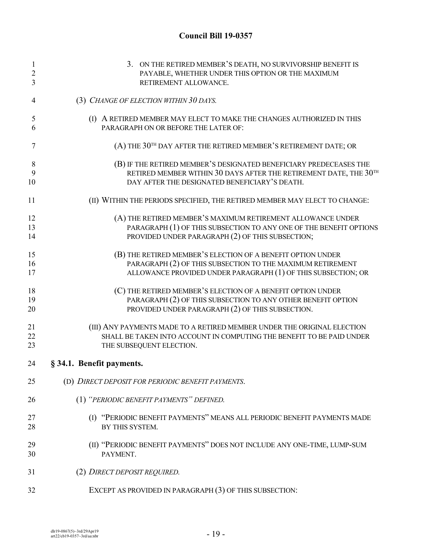| $\mathbf{1}$   | 3. ON THE RETIRED MEMBER'S DEATH, NO SURVIVORSHIP BENEFIT IS               |
|----------------|----------------------------------------------------------------------------|
| $\overline{2}$ | PAYABLE, WHETHER UNDER THIS OPTION OR THE MAXIMUM                          |
| 3              | RETIREMENT ALLOWANCE.                                                      |
| 4              | (3) CHANGE OF ELECTION WITHIN 30 DAYS.                                     |
| 5              | (I) A RETIRED MEMBER MAY ELECT TO MAKE THE CHANGES AUTHORIZED IN THIS      |
| 6              | PARAGRAPH ON OR BEFORE THE LATER OF:                                       |
| 7              | (A) THE 30TH DAY AFTER THE RETIRED MEMBER'S RETIREMENT DATE; OR            |
| 8              | (B) IF THE RETIRED MEMBER'S DESIGNATED BENEFICIARY PREDECEASES THE         |
| 9              | RETIRED MEMBER WITHIN 30 DAYS AFTER THE RETIREMENT DATE, THE 30TH          |
| 10             | DAY AFTER THE DESIGNATED BENEFICIARY'S DEATH.                              |
| 11             | (II) WITHIN THE PERIODS SPECIFIED, THE RETIRED MEMBER MAY ELECT TO CHANGE: |
| 12             | (A) THE RETIRED MEMBER'S MAXIMUM RETIREMENT ALLOWANCE UNDER                |
| 13             | PARAGRAPH (1) OF THIS SUBSECTION TO ANY ONE OF THE BENEFIT OPTIONS         |
| 14             | PROVIDED UNDER PARAGRAPH (2) OF THIS SUBSECTION;                           |
| 15             | (B) THE RETIRED MEMBER'S ELECTION OF A BENEFIT OPTION UNDER                |
| 16             | PARAGRAPH (2) OF THIS SUBSECTION TO THE MAXIMUM RETIREMENT                 |
| 17             | ALLOWANCE PROVIDED UNDER PARAGRAPH (1) OF THIS SUBSECTION; OR              |
| 18             | (C) THE RETIRED MEMBER'S ELECTION OF A BENEFIT OPTION UNDER                |
| 19             | PARAGRAPH (2) OF THIS SUBSECTION TO ANY OTHER BENEFIT OPTION               |
| 20             | PROVIDED UNDER PARAGRAPH (2) OF THIS SUBSECTION.                           |
| 21             | (III) ANY PAYMENTS MADE TO A RETIRED MEMBER UNDER THE ORIGINAL ELECTION    |
| 22             | SHALL BE TAKEN INTO ACCOUNT IN COMPUTING THE BENEFIT TO BE PAID UNDER      |
| 23             | THE SUBSEQUENT ELECTION.                                                   |
| 24             | § 34.1. Benefit payments.                                                  |
| 25             | (D) DIRECT DEPOSIT FOR PERIODIC BENEFIT PAYMENTS.                          |
| 26             | (1) "PERIODIC BENEFIT PAYMENTS" DEFINED.                                   |
| 27             | (I) "PERIODIC BENEFIT PAYMENTS" MEANS ALL PERIODIC BENEFIT PAYMENTS MADE   |
| 28             | BY THIS SYSTEM.                                                            |
| 29             | (II) "PERIODIC BENEFIT PAYMENTS" DOES NOT INCLUDE ANY ONE-TIME, LUMP-SUM   |
| 30             | PAYMENT.                                                                   |
| 31             | (2) DIRECT DEPOSIT REQUIRED.                                               |
| 32             | EXCEPT AS PROVIDED IN PARAGRAPH (3) OF THIS SUBSECTION:                    |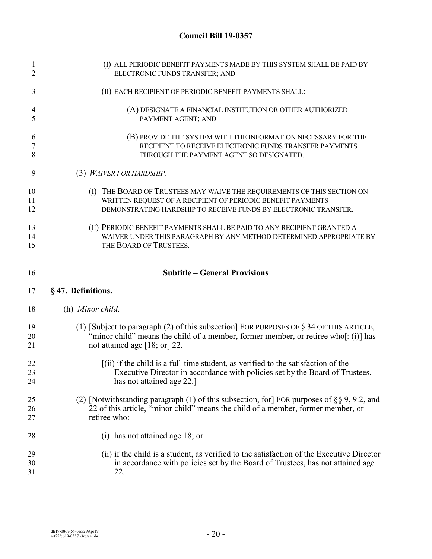| (I) ALL PERIODIC BENEFIT PAYMENTS MADE BY THIS SYSTEM SHALL BE PAID BY<br>ELECTRONIC FUNDS TRANSFER; AND                                                                                                             |
|----------------------------------------------------------------------------------------------------------------------------------------------------------------------------------------------------------------------|
| (II) EACH RECIPIENT OF PERIODIC BENEFIT PAYMENTS SHALL:                                                                                                                                                              |
| (A) DESIGNATE A FINANCIAL INSTITUTION OR OTHER AUTHORIZED<br>PAYMENT AGENT; AND                                                                                                                                      |
| (B) PROVIDE THE SYSTEM WITH THE INFORMATION NECESSARY FOR THE<br>RECIPIENT TO RECEIVE ELECTRONIC FUNDS TRANSFER PAYMENTS<br>THROUGH THE PAYMENT AGENT SO DESIGNATED.                                                 |
| (3) WAIVER FOR HARDSHIP.                                                                                                                                                                                             |
| (I) THE BOARD OF TRUSTEES MAY WAIVE THE REQUIREMENTS OF THIS SECTION ON<br>WRITTEN REQUEST OF A RECIPIENT OF PERIODIC BENEFIT PAYMENTS<br>DEMONSTRATING HARDSHIP TO RECEIVE FUNDS BY ELECTRONIC TRANSFER.            |
| (II) PERIODIC BENEFIT PAYMENTS SHALL BE PAID TO ANY RECIPIENT GRANTED A<br>WAIVER UNDER THIS PARAGRAPH BY ANY METHOD DETERMINED APPROPRIATE BY<br>THE BOARD OF TRUSTEES.                                             |
| <b>Subtitle - General Provisions</b>                                                                                                                                                                                 |
| §47. Definitions.                                                                                                                                                                                                    |
| (h) Minor child.                                                                                                                                                                                                     |
| (1) [Subject to paragraph (2) of this subsection] FOR PURPOSES OF $\S$ 34 OF THIS ARTICLE,<br>"minor child" means the child of a member, former member, or retiree who[: (i)] has<br>not attained age $[18; or]$ 22. |
| $(iii)$ if the child is a full-time student, as verified to the satisfaction of the<br>Executive Director in accordance with policies set by the Board of Trustees,<br>has not attained age 22.]                     |
| (2) [Notwithstanding paragraph (1) of this subsection, for] FOR purposes of $\S$ § 9, 9.2, and<br>22 of this article, "minor child" means the child of a member, former member, or<br>retiree who:                   |
| (i) has not attained age 18; or                                                                                                                                                                                      |
|                                                                                                                                                                                                                      |
|                                                                                                                                                                                                                      |